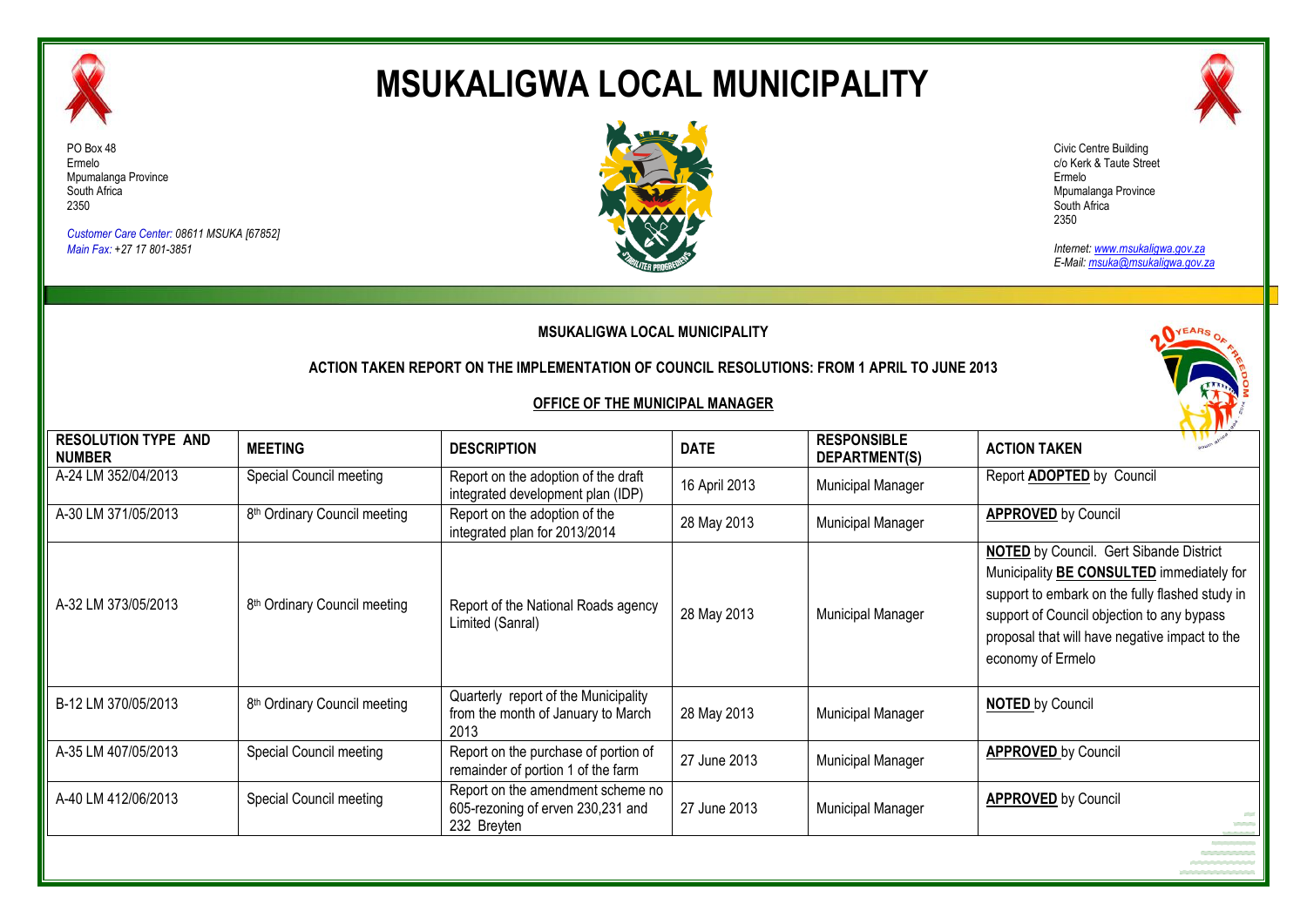

# **MSUKALIGWA LOCAL MUNICIPALITY**



*Customer Care Center: 08611 MSUKA [67852] Main Fax: +27 17 801-3851*



Civic Centre Building c/o Kerk & Taute Street Ermelo Mpumalanga Province South Africa 2350

*Internet: www.msukaligwa.gov.za E-Mail: msuka@msukaligwa.gov.za*

| <b>MSUKALIGWA LOCAL MUNICIPALITY</b><br>ACTION TAKEN REPORT ON THE IMPLEMENTATION OF COUNCIL RESOLUTIONS: FROM 1 APRIL TO JUNE 2013<br><b>OFFICE OF THE MUNICIPAL MANAGER</b> |                                          |                                                                                       |               |                                     |                                                                                                                                                                                                                                                                            |  |
|-------------------------------------------------------------------------------------------------------------------------------------------------------------------------------|------------------------------------------|---------------------------------------------------------------------------------------|---------------|-------------------------------------|----------------------------------------------------------------------------------------------------------------------------------------------------------------------------------------------------------------------------------------------------------------------------|--|
| <b>RESOLUTION TYPE AND</b><br><b>NUMBER</b>                                                                                                                                   | <b>MEETING</b>                           | <b>DESCRIPTION</b>                                                                    | <b>DATE</b>   | <b>RESPONSIBLE</b><br>DEPARTMENT(S) | <b>ACTION TAKEN</b>                                                                                                                                                                                                                                                        |  |
| A-24 LM 352/04/2013                                                                                                                                                           | Special Council meeting                  | Report on the adoption of the draft<br>integrated development plan (IDP)              | 16 April 2013 | Municipal Manager                   | Report <b>ADOPTED</b> by Council                                                                                                                                                                                                                                           |  |
| A-30 LM 371/05/2013                                                                                                                                                           | 8 <sup>th</sup> Ordinary Council meeting | Report on the adoption of the<br>integrated plan for 2013/2014                        | 28 May 2013   | Municipal Manager                   | <b>APPROVED</b> by Council                                                                                                                                                                                                                                                 |  |
| A-32 LM 373/05/2013                                                                                                                                                           | 8 <sup>th</sup> Ordinary Council meeting | Report of the National Roads agency<br>Limited (Sanral)                               | 28 May 2013   | Municipal Manager                   | <b>NOTED</b> by Council. Gert Sibande District<br>Municipality <b>BE CONSULTED</b> immediately for<br>support to embark on the fully flashed study in<br>support of Council objection to any bypass<br>proposal that will have negative impact to the<br>economy of Ermelo |  |
| B-12 LM 370/05/2013                                                                                                                                                           | 8 <sup>th</sup> Ordinary Council meeting | Quarterly report of the Municipality<br>from the month of January to March<br>2013    | 28 May 2013   | Municipal Manager                   | <b>NOTED</b> by Council                                                                                                                                                                                                                                                    |  |
| A-35 LM 407/05/2013                                                                                                                                                           | Special Council meeting                  | Report on the purchase of portion of<br>remainder of portion 1 of the farm            | 27 June 2013  | Municipal Manager                   | <b>APPROVED</b> by Council                                                                                                                                                                                                                                                 |  |
| A-40 LM 412/06/2013                                                                                                                                                           | Special Council meeting                  | Report on the amendment scheme no<br>605-rezoning of erven 230,231 and<br>232 Breyten | 27 June 2013  | Municipal Manager                   | <b>APPROVED</b> by Council<br><b>Contract</b>                                                                                                                                                                                                                              |  |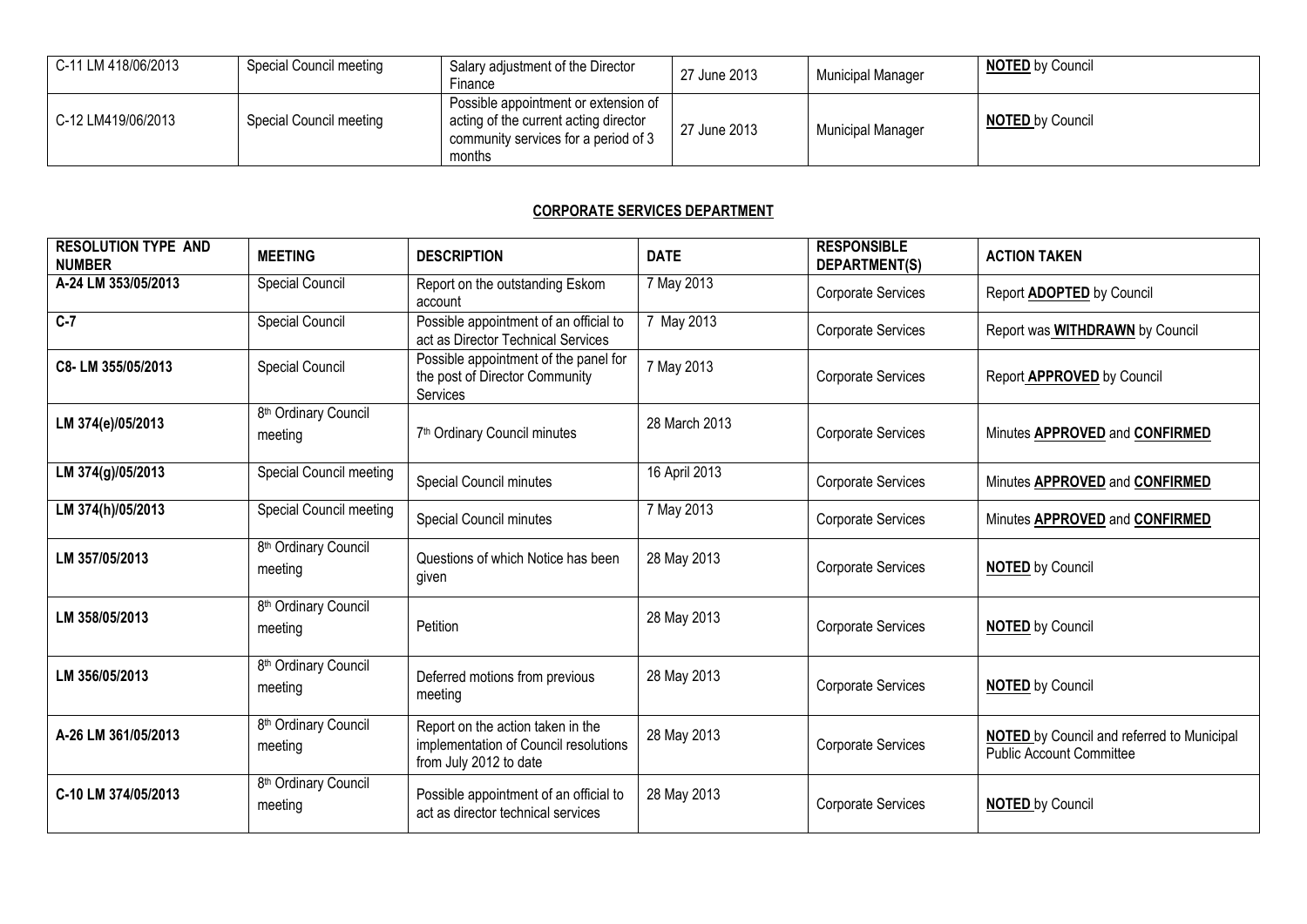| C-11 LM 418/06/2013 | Special Council meeting | Salary adjustment of the Director<br>Finance                                                                                    | 27 June 2013 | Municipal Manager        | <b>NOTED</b> by Council |
|---------------------|-------------------------|---------------------------------------------------------------------------------------------------------------------------------|--------------|--------------------------|-------------------------|
| C-12 LM419/06/2013  | Special Council meeting | Possible appointment or extension of<br>acting of the current acting director<br>community services for a period of 3<br>months | 27 June 2013 | <b>Municipal Manager</b> | <b>NOTED</b> by Council |

### **CORPORATE SERVICES DEPARTMENT**

| <b>RESOLUTION TYPE AND</b><br><b>NUMBER</b> | <b>MEETING</b>                              | <b>DESCRIPTION</b>                                                                                   | <b>DATE</b>   | <b>RESPONSIBLE</b><br>DEPARTMENT(S) | <b>ACTION TAKEN</b>                                                                  |
|---------------------------------------------|---------------------------------------------|------------------------------------------------------------------------------------------------------|---------------|-------------------------------------|--------------------------------------------------------------------------------------|
| A-24 LM 353/05/2013                         | Special Council                             | Report on the outstanding Eskom<br>account                                                           | 7 May 2013    | Corporate Services                  | Report <b>ADOPTED</b> by Council                                                     |
| $C-7$                                       | Special Council                             | Possible appointment of an official to<br>act as Director Technical Services                         | 7 May 2013    | Corporate Services                  | Report was WITHDRAWN by Council                                                      |
| C8-LM 355/05/2013                           | <b>Special Council</b>                      | Possible appointment of the panel for<br>the post of Director Community<br>Services                  | 7 May 2013    | <b>Corporate Services</b>           | Report APPROVED by Council                                                           |
| LM 374(e)/05/2013                           | 8 <sup>th</sup> Ordinary Council<br>meeting | 7 <sup>th</sup> Ordinary Council minutes                                                             | 28 March 2013 | <b>Corporate Services</b>           | Minutes APPROVED and CONFIRMED                                                       |
| LM 374(g)/05/2013                           | Special Council meeting                     | Special Council minutes                                                                              | 16 April 2013 | <b>Corporate Services</b>           | Minutes APPROVED and CONFIRMED                                                       |
| LM 374(h)/05/2013                           | Special Council meeting                     | Special Council minutes                                                                              | 7 May 2013    | Corporate Services                  | Minutes APPROVED and CONFIRMED                                                       |
| LM 357/05/2013                              | 8 <sup>th</sup> Ordinary Council<br>meeting | Questions of which Notice has been<br>given                                                          | 28 May 2013   | <b>Corporate Services</b>           | <b>NOTED by Council</b>                                                              |
| LM 358/05/2013                              | 8 <sup>th</sup> Ordinary Council<br>meeting | Petition                                                                                             | 28 May 2013   | Corporate Services                  | <b>NOTED</b> by Council                                                              |
| LM 356/05/2013                              | 8 <sup>th</sup> Ordinary Council<br>meeting | Deferred motions from previous<br>meeting                                                            | 28 May 2013   | <b>Corporate Services</b>           | <b>NOTED by Council</b>                                                              |
| A-26 LM 361/05/2013                         | 8 <sup>th</sup> Ordinary Council<br>meeting | Report on the action taken in the<br>implementation of Council resolutions<br>from July 2012 to date | 28 May 2013   | <b>Corporate Services</b>           | <b>NOTED</b> by Council and referred to Municipal<br><b>Public Account Committee</b> |
| C-10 LM 374/05/2013                         | 8 <sup>th</sup> Ordinary Council<br>meeting | Possible appointment of an official to<br>act as director technical services                         | 28 May 2013   | <b>Corporate Services</b>           | <b>NOTED by Council</b>                                                              |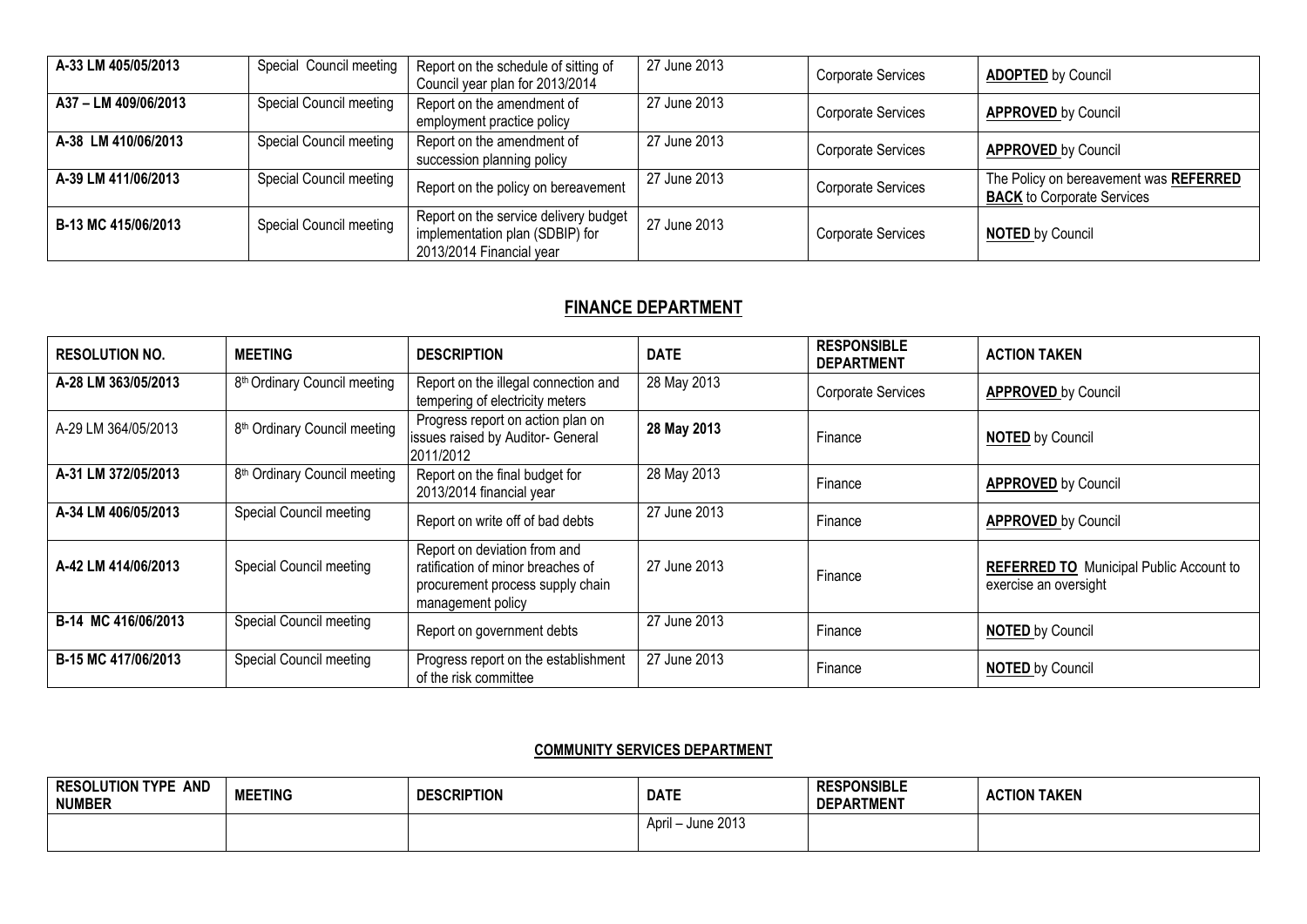| A-33 LM 405/05/2013  | Special Council meeting        | Report on the schedule of sitting of<br>Council year plan for 2013/2014                              | 27 June 2013 | <b>Corporate Services</b> | <b>ADOPTED by Council</b>                                                   |
|----------------------|--------------------------------|------------------------------------------------------------------------------------------------------|--------------|---------------------------|-----------------------------------------------------------------------------|
| A37 - LM 409/06/2013 | Special Council meeting        | Report on the amendment of<br>employment practice policy                                             | 27 June 2013 | <b>Corporate Services</b> | <b>APPROVED by Council</b>                                                  |
| A-38 LM 410/06/2013  | Special Council meeting        | Report on the amendment of<br>succession planning policy                                             | 27 June 2013 | <b>Corporate Services</b> | <b>APPROVED</b> by Council                                                  |
| A-39 LM 411/06/2013  | Special Council meeting        | Report on the policy on bereavement                                                                  | 27 June 2013 | <b>Corporate Services</b> | The Policy on bereavement was REFERRED<br><b>BACK</b> to Corporate Services |
| B-13 MC 415/06/2013  | <b>Special Council meeting</b> | Report on the service delivery budget<br>implementation plan (SDBIP) for<br>2013/2014 Financial year | 27 June 2013 | <b>Corporate Services</b> | <b>NOTED by Council</b>                                                     |

## **FINANCE DEPARTMENT**

| <b>RESOLUTION NO.</b> | <b>MEETING</b>                           | <b>DESCRIPTION</b>                                                                                                         | <b>DATE</b>  | <b>RESPONSIBLE</b><br><b>DEPARTMENT</b> | <b>ACTION TAKEN</b>                                                     |
|-----------------------|------------------------------------------|----------------------------------------------------------------------------------------------------------------------------|--------------|-----------------------------------------|-------------------------------------------------------------------------|
| A-28 LM 363/05/2013   | 8 <sup>th</sup> Ordinary Council meeting | Report on the illegal connection and<br>tempering of electricity meters                                                    | 28 May 2013  | Corporate Services                      | <b>APPROVED by Council</b>                                              |
| A-29 LM 364/05/2013   | 8 <sup>th</sup> Ordinary Council meeting | Progress report on action plan on<br>issues raised by Auditor- General<br>2011/2012                                        | 28 May 2013  | Finance                                 | <b>NOTED</b> by Council                                                 |
| A-31 LM 372/05/2013   | 8 <sup>th</sup> Ordinary Council meeting | Report on the final budget for<br>2013/2014 financial year                                                                 | 28 May 2013  | Finance                                 | <b>APPROVED by Council</b>                                              |
| A-34 LM 406/05/2013   | Special Council meeting                  | Report on write off of bad debts                                                                                           | 27 June 2013 | Finance                                 | <b>APPROVED by Council</b>                                              |
| A-42 LM 414/06/2013   | Special Council meeting                  | Report on deviation from and<br>ratification of minor breaches of<br>procurement process supply chain<br>management policy | 27 June 2013 | Finance                                 | <b>REFERRED TO</b> Municipal Public Account to<br>exercise an oversight |
| B-14 MC 416/06/2013   | Special Council meeting                  | Report on government debts                                                                                                 | 27 June 2013 | Finance                                 | <b>NOTED by Council</b>                                                 |
| B-15 MC 417/06/2013   | Special Council meeting                  | Progress report on the establishment<br>of the risk committee                                                              | 27 June 2013 | Finance                                 | <b>NOTED</b> by Council                                                 |

## **COMMUNITY SERVICES DEPARTMENT**

| <b>AND</b><br><b>RESOLUTION TYPE</b><br><b>NUMBER</b> | <b>MEETING</b> | <b>DESCRIPTION</b> | <b>DATE</b>          | <b>RESPONSIBLE</b><br><b>DEPARTMENT</b> | <b>ACTION TAKEN</b> |
|-------------------------------------------------------|----------------|--------------------|----------------------|-----------------------------------------|---------------------|
|                                                       |                |                    | June 2013<br>April – |                                         |                     |